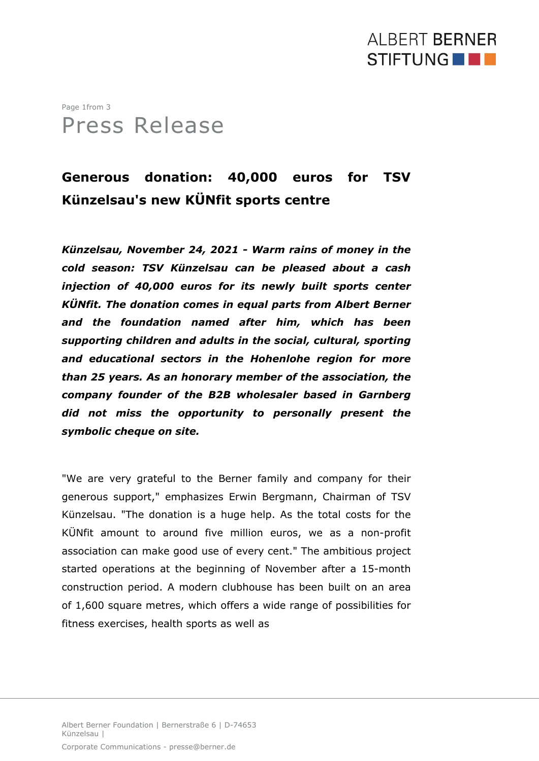### **ALBERT BERNER** STIFTUNG **NO**

#### Page 1from 3 Press Release

#### **Generous donation: 40,000 euros for TSV Künzelsau's new KÜNfit sports centre**

*Künzelsau, November 24, 2021 - Warm rains of money in the cold season: TSV Künzelsau can be pleased about a cash injection of 40,000 euros for its newly built sports center KÜNfit. The donation comes in equal parts from Albert Berner and the foundation named after him, which has been supporting children and adults in the social, cultural, sporting and educational sectors in the Hohenlohe region for more than 25 years. As an honorary member of the association, the company founder of the B2B wholesaler based in Garnberg did not miss the opportunity to personally present the symbolic cheque on site.*

"We are very grateful to the Berner family and company for their generous support," emphasizes Erwin Bergmann, Chairman of TSV Künzelsau. "The donation is a huge help. As the total costs for the KÜNfit amount to around five million euros, we as a non-profit association can make good use of every cent." The ambitious project started operations at the beginning of November after a 15-month construction period. A modern clubhouse has been built on an area of 1,600 square metres, which offers a wide range of possibilities for fitness exercises, health sports as well as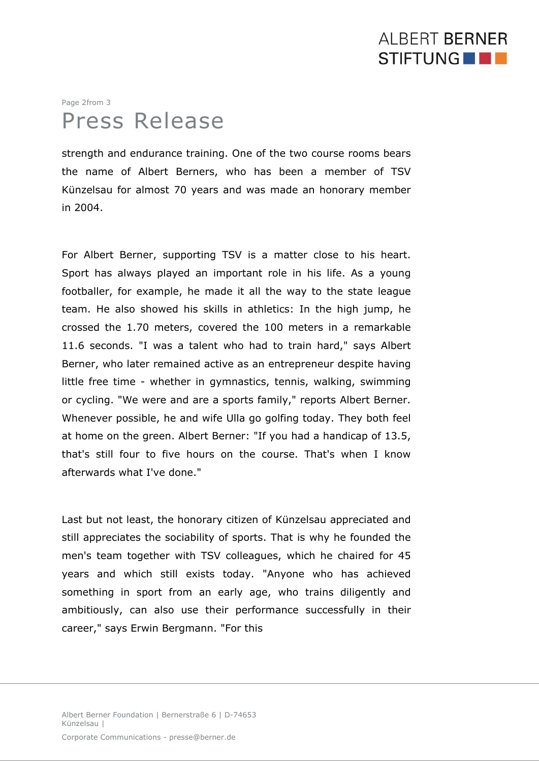# AI BERT BERNER STIFTUNG **NO**

# Page 2from 3 Press Release

strength and endurance training. One of the two course rooms bears the name of Albert Berners, who has been a member of TSV Künzelsau for almost 70 years and was made an honorary member in 2004.

For Albert Berner, supporting TSV is a matter close to his heart. Sport has always played an important role in his life. As a young footballer, for example, he made it all the way to the state league team. He also showed his skills in athletics: In the high jump, he crossed the 1.70 meters, covered the 100 meters in a remarkable 11.6 seconds. "I was a talent who had to train hard," says Albert Berner, who later remained active as an entrepreneur despite having little free time - whether in gymnastics, tennis, walking, swimming or cycling. "We were and are a sports family," reports Albert Berner. Whenever possible, he and wife Ulla go golfing today. They both feel at home on the green. Albert Berner: "If you had a handicap of 13.5, that's still four to five hours on the course. That's when I know afterwards what I've done."

Last but not least, the honorary citizen of Künzelsau appreciated and still appreciates the sociability of sports. That is why he founded the men's team together with TSV colleagues, which he chaired for 45 years and which still exists today. "Anyone who has achieved something in sport from an early age, who trains diligently and ambitiously, can also use their performance successfully in their career," says Erwin Bergmann. "For this